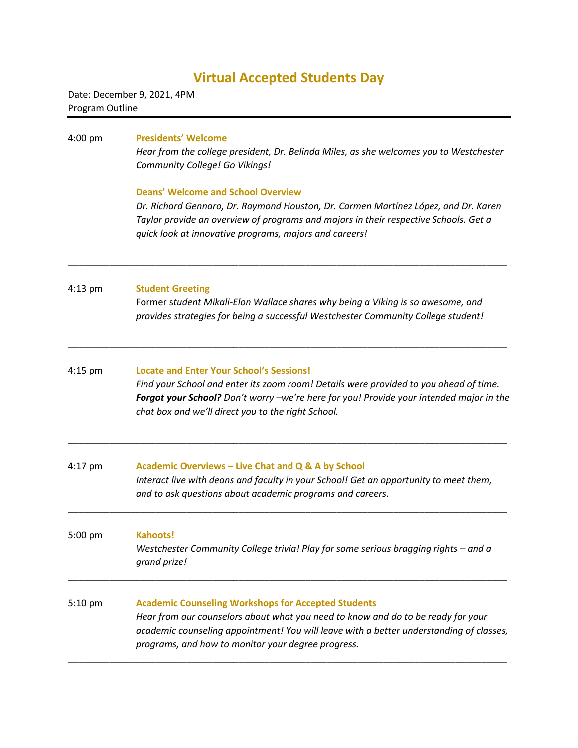# **Virtual Accepted Students Day**

Date: December 9, 2021, 4PM Program Outline

#### 4:00 pm **Presidents' Welcome**

*Hear from the college president, Dr. Belinda Miles, as she welcomes you to Westchester Community College! Go Vikings!*

### **Deans' Welcome and School Overview**

*Dr. Richard Gennaro, Dr. Raymond Houston, Dr. Carmen Martínez López, and Dr. Karen Taylor provide an overview of programs and majors in their respective Schools. Get a quick look at innovative programs, majors and careers!*

#### 4:13 pm **Student Greeting**

Former s*tudent Mikali-Elon Wallace shares why being a Viking is so awesome, and provides strategies for being a successful Westchester Community College student!*

### 4:15 pm **Locate and Enter Your School's Sessions!** *Find your School and enter its zoom room! Details were provided to you ahead of time. Forgot your School? Don't worry –we're here for you! Provide your intended major in the chat box and we'll direct you to the right School.*

\_\_\_\_\_\_\_\_\_\_\_\_\_\_\_\_\_\_\_\_\_\_\_\_\_\_\_\_\_\_\_\_\_\_\_\_\_\_\_\_\_\_\_\_\_\_\_\_\_\_\_\_\_\_\_\_\_\_\_\_\_\_\_\_\_\_\_\_\_\_\_\_\_\_\_\_\_\_\_\_\_\_\_\_\_

\_\_\_\_\_\_\_\_\_\_\_\_\_\_\_\_\_\_\_\_\_\_\_\_\_\_\_\_\_\_\_\_\_\_\_\_\_\_\_\_\_\_\_\_\_\_\_\_\_\_\_\_\_\_\_\_\_\_\_\_\_\_\_\_\_\_\_\_\_\_\_\_\_\_\_\_\_\_\_\_\_\_\_\_\_

\_\_\_\_\_\_\_\_\_\_\_\_\_\_\_\_\_\_\_\_\_\_\_\_\_\_\_\_\_\_\_\_\_\_\_\_\_\_\_\_\_\_\_\_\_\_\_\_\_\_\_\_\_\_\_\_\_\_\_\_\_\_\_\_\_\_\_\_\_\_\_\_\_\_\_\_\_\_\_\_\_\_\_\_\_

| 4:17 pm | Academic Overviews - Live Chat and Q & A by School                                    |
|---------|---------------------------------------------------------------------------------------|
|         | Interact live with deans and faculty in your School! Get an opportunity to meet them, |
|         | and to ask questions about academic programs and careers.                             |
|         |                                                                                       |

## 5:00 pm **Kahoots!** *Westchester Community College trivia! Play for some serious bragging rights – and a grand prize!* \_\_\_\_\_\_\_\_\_\_\_\_\_\_\_\_\_\_\_\_\_\_\_\_\_\_\_\_\_\_\_\_\_\_\_\_\_\_\_\_\_\_\_\_\_\_\_\_\_\_\_\_\_\_\_\_\_\_\_\_\_\_\_\_\_\_\_\_\_\_\_\_\_\_\_\_\_\_\_\_\_\_\_\_\_

### 5:10 pm **Academic Counseling Workshops for Accepted Students** *Hear from our counselors about what you need to know and do to be ready for your academic counseling appointment! You will leave with a better understanding of classes, programs, and how to monitor your degree progress.* \_\_\_\_\_\_\_\_\_\_\_\_\_\_\_\_\_\_\_\_\_\_\_\_\_\_\_\_\_\_\_\_\_\_\_\_\_\_\_\_\_\_\_\_\_\_\_\_\_\_\_\_\_\_\_\_\_\_\_\_\_\_\_\_\_\_\_\_\_\_\_\_\_\_\_\_\_\_\_\_\_\_\_\_\_